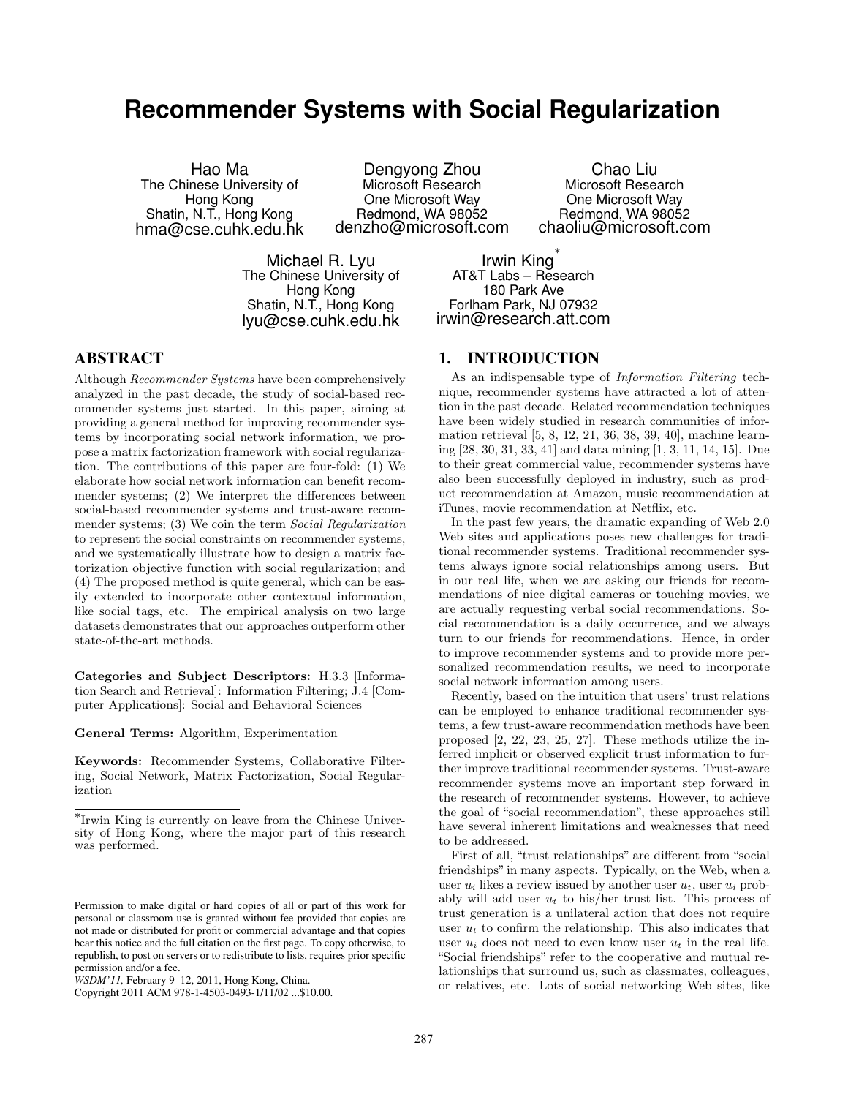# **Recommender Systems with Social Regularization**

Hao Ma The Chinese University of Hong Kong Shatin, N.T., Hong Kong hma@cse.cuhk.edu.hk

Dengyong Zhou Microsoft Research One Microsoft Way Redmond, WA 98052 denzho@microsoft.com

Chao Liu Microsoft Research One Microsoft Way Redmond, WA 98052 chaoliu@microsoft.com

Michael R. Lyu The Chinese University of Hong Kong Shatin, N.T., Hong Kong lyu@cse.cuhk.edu.hk

Irwin King ∗ AT&T Labs – Research 180 Park Ave Forlham Park, NJ 07932 irwin@research.att.com

# **ABSTRACT**

Although Recommender Systems have been comprehensively analyzed in the past decade, the study of social-based recommender systems just started. In this paper, aiming at providing a general method for improving recommender systems by incorporating social network information, we propose a matrix factorization framework with social regularization. The contributions of this paper are four-fold: (1) We elaborate how social network information can benefit recommender systems; (2) We interpret the differences between social-based recommender systems and trust-aware recommender systems; (3) We coin the term Social Regularization to represent the social constraints on recommender systems, and we systematically illustrate how to design a matrix factorization objective function with social regularization; and (4) The proposed method is quite general, which can be easily extended to incorporate other contextual information, like social tags, etc. The empirical analysis on two large datasets demonstrates that our approaches outperform other state-of-the-art methods.

Categories and Subject Descriptors: H.3.3 [Information Search and Retrieval]: Information Filtering; J.4 [Computer Applications]: Social and Behavioral Sciences

General Terms: Algorithm, Experimentation

Keywords: Recommender Systems, Collaborative Filtering, Social Network, Matrix Factorization, Social Regularization

Copyright 2011 ACM 978-1-4503-0493-1/11/02 ...\$10.00.

**1. INTRODUCTION**

As an indispensable type of Information Filtering technique, recommender systems have attracted a lot of attention in the past decade. Related recommendation techniques have been widely studied in research communities of information retrieval [5, 8, 12, 21, 36, 38, 39, 40], machine learning [28, 30, 31, 33, 41] and data mining [1, 3, 11, 14, 15]. Due to their great commercial value, recommender systems have also been successfully deployed in industry, such as product recommendation at Amazon, music recommendation at iTunes, movie recommendation at Netflix, etc.

In the past few years, the dramatic expanding of Web 2.0 Web sites and applications poses new challenges for traditional recommender systems. Traditional recommender systems always ignore social relationships among users. But in our real life, when we are asking our friends for recommendations of nice digital cameras or touching movies, we are actually requesting verbal social recommendations. Social recommendation is a daily occurrence, and we always turn to our friends for recommendations. Hence, in order to improve recommender systems and to provide more personalized recommendation results, we need to incorporate social network information among users.

Recently, based on the intuition that users' trust relations can be employed to enhance traditional recommender systems, a few trust-aware recommendation methods have been proposed [2, 22, 23, 25, 27]. These methods utilize the inferred implicit or observed explicit trust information to further improve traditional recommender systems. Trust-aware recommender systems move an important step forward in the research of recommender systems. However, to achieve the goal of "social recommendation", these approaches still have several inherent limitations and weaknesses that need to be addressed.

First of all, "trust relationships" are different from "social friendships"in many aspects. Typically, on the Web, when a user  $u_i$  likes a review issued by another user  $u_t$ , user  $u_i$  probably will add user  $u_t$  to his/her trust list. This process of trust generation is a unilateral action that does not require user  $u_t$  to confirm the relationship. This also indicates that user  $u_i$  does not need to even know user  $u_t$  in the real life. "Social friendships" refer to the cooperative and mutual relationships that surround us, such as classmates, colleagues, or relatives, etc. Lots of social networking Web sites, like

<sup>∗</sup> Irwin King is currently on leave from the Chinese University of Hong Kong, where the major part of this research was performed.

Permission to make digital or hard copies of all or part of this work for personal or classroom use is granted without fee provided that copies are not made or distributed for profit or commercial advantage and that copies bear this notice and the full citation on the first page. To copy otherwise, to republish, to post on servers or to redistribute to lists, requires prior specific permission and/or a fee.

*WSDM'11,* February 9–12, 2011, Hong Kong, China.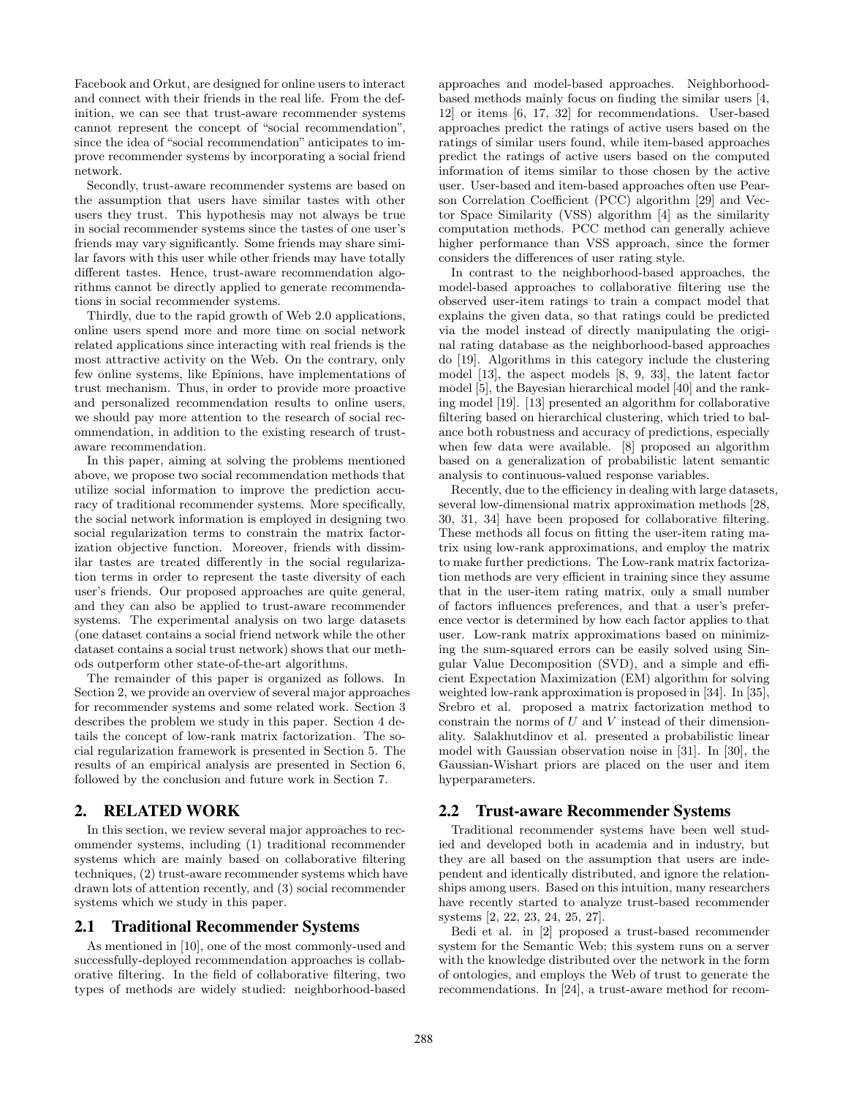Facebook and Orkut, are designed for online users to interact and connect with their friends in the real life. From the definition, we can see that trust-aware recommender systems cannot represent the concept of "social recommendation", since the idea of "social recommendation" anticipates to improve recommender systems by incorporating a social friend network.

Secondly, trust-aware recommender systems are based on the assumption that users have similar tastes with other users they trust. This hypothesis may not always be true in social recommender systems since the tastes of one user's friends may vary significantly. Some friends may share similar favors with this user while other friends may have totally different tastes. Hence, trust-aware recommendation algorithms cannot be directly applied to generate recommendations in social recommender systems.

Thirdly, due to the rapid growth of Web 2.0 applications, online users spend more and more time on social network related applications since interacting with real friends is the most attractive activity on the Web. On the contrary, only few online systems, like Epinions, have implementations of trust mechanism. Thus, in order to provide more proactive and personalized recommendation results to online users, we should pay more attention to the research of social recommendation, in addition to the existing research of trustaware recommendation.

In this paper, aiming at solving the problems mentioned above, we propose two social recommendation methods that utilize social information to improve the prediction accuracy of traditional recommender systems. More specifically, the social network information is employed in designing two social regularization terms to constrain the matrix factorization objective function. Moreover, friends with dissimilar tastes are treated differently in the social regularization terms in order to represent the taste diversity of each user's friends. Our proposed approaches are quite general, and they can also be applied to trust-aware recommender systems. The experimental analysis on two large datasets (one dataset contains a social friend network while the other dataset contains a social trust network) shows that our methods outperform other state-of-the-art algorithms.

The remainder of this paper is organized as follows. In Section 2, we provide an overview of several major approaches for recommender systems and some related work. Section 3 describes the problem we study in this paper. Section 4 details the concept of low-rank matrix factorization. The social regularization framework is presented in Section 5. The results of an empirical analysis are presented in Section 6, followed by the conclusion and future work in Section 7.

# **2. RELATED WORK**

In this section, we review several major approaches to recommender systems, including (1) traditional recommender systems which are mainly based on collaborative filtering techniques, (2) trust-aware recommender systems which have drawn lots of attention recently, and (3) social recommender systems which we study in this paper.

#### **2.1 Traditional Recommender Systems**

As mentioned in [10], one of the most commonly-used and successfully-deployed recommendation approaches is collaborative filtering. In the field of collaborative filtering, two types of methods are widely studied: neighborhood-based approaches and model-based approaches. Neighborhoodbased methods mainly focus on finding the similar users [4, 12] or items [6, 17, 32] for recommendations. User-based approaches predict the ratings of active users based on the ratings of similar users found, while item-based approaches predict the ratings of active users based on the computed information of items similar to those chosen by the active user. User-based and item-based approaches often use Pearson Correlation Coefficient (PCC) algorithm [29] and Vector Space Similarity (VSS) algorithm [4] as the similarity computation methods. PCC method can generally achieve higher performance than VSS approach, since the former considers the differences of user rating style.

In contrast to the neighborhood-based approaches, the model-based approaches to collaborative filtering use the observed user-item ratings to train a compact model that explains the given data, so that ratings could be predicted via the model instead of directly manipulating the original rating database as the neighborhood-based approaches do [19]. Algorithms in this category include the clustering model [13], the aspect models [8, 9, 33], the latent factor model [5], the Bayesian hierarchical model [40] and the ranking model [19]. [13] presented an algorithm for collaborative filtering based on hierarchical clustering, which tried to balance both robustness and accuracy of predictions, especially when few data were available. [8] proposed an algorithm based on a generalization of probabilistic latent semantic analysis to continuous-valued response variables.

Recently, due to the efficiency in dealing with large datasets, several low-dimensional matrix approximation methods [28, 30, 31, 34] have been proposed for collaborative filtering. These methods all focus on fitting the user-item rating matrix using low-rank approximations, and employ the matrix to make further predictions. The Low-rank matrix factorization methods are very efficient in training since they assume that in the user-item rating matrix, only a small number of factors influences preferences, and that a user's preference vector is determined by how each factor applies to that user. Low-rank matrix approximations based on minimizing the sum-squared errors can be easily solved using Singular Value Decomposition (SVD), and a simple and efficient Expectation Maximization (EM) algorithm for solving weighted low-rank approximation is proposed in [34]. In [35], Srebro et al. proposed a matrix factorization method to constrain the norms of  $U$  and  $V$  instead of their dimensionality. Salakhutdinov et al. presented a probabilistic linear model with Gaussian observation noise in [31]. In [30], the Gaussian-Wishart priors are placed on the user and item hyperparameters.

#### **2.2 Trust-aware Recommender Systems**

Traditional recommender systems have been well studied and developed both in academia and in industry, but they are all based on the assumption that users are independent and identically distributed, and ignore the relationships among users. Based on this intuition, many researchers have recently started to analyze trust-based recommender systems [2, 22, 23, 24, 25, 27].

Bedi et al. in [2] proposed a trust-based recommender system for the Semantic Web; this system runs on a server with the knowledge distributed over the network in the form of ontologies, and employs the Web of trust to generate the recommendations. In [24], a trust-aware method for recom-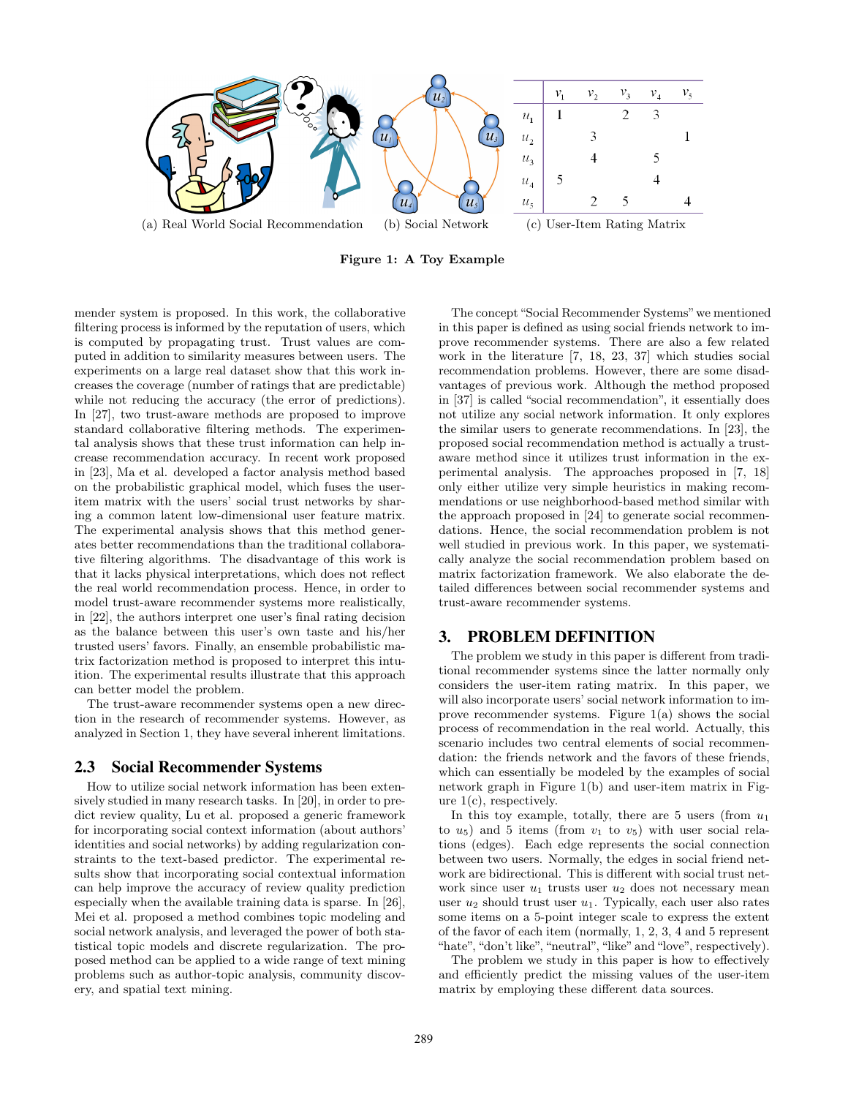

Figure 1: A Toy Example

mender system is proposed. In this work, the collaborative filtering process is informed by the reputation of users, which is computed by propagating trust. Trust values are computed in addition to similarity measures between users. The experiments on a large real dataset show that this work increases the coverage (number of ratings that are predictable) while not reducing the accuracy (the error of predictions). In [27], two trust-aware methods are proposed to improve standard collaborative filtering methods. The experimental analysis shows that these trust information can help increase recommendation accuracy. In recent work proposed in [23], Ma et al. developed a factor analysis method based on the probabilistic graphical model, which fuses the useritem matrix with the users' social trust networks by sharing a common latent low-dimensional user feature matrix. The experimental analysis shows that this method generates better recommendations than the traditional collaborative filtering algorithms. The disadvantage of this work is that it lacks physical interpretations, which does not reflect the real world recommendation process. Hence, in order to model trust-aware recommender systems more realistically, in [22], the authors interpret one user's final rating decision as the balance between this user's own taste and his/her trusted users' favors. Finally, an ensemble probabilistic matrix factorization method is proposed to interpret this intuition. The experimental results illustrate that this approach can better model the problem.

The trust-aware recommender systems open a new direction in the research of recommender systems. However, as analyzed in Section 1, they have several inherent limitations.

## **2.3 Social Recommender Systems**

How to utilize social network information has been extensively studied in many research tasks. In [20], in order to predict review quality, Lu et al. proposed a generic framework for incorporating social context information (about authors' identities and social networks) by adding regularization constraints to the text-based predictor. The experimental results show that incorporating social contextual information can help improve the accuracy of review quality prediction especially when the available training data is sparse. In [26], Mei et al. proposed a method combines topic modeling and social network analysis, and leveraged the power of both statistical topic models and discrete regularization. The proposed method can be applied to a wide range of text mining problems such as author-topic analysis, community discovery, and spatial text mining.

The concept "Social Recommender Systems" we mentioned in this paper is defined as using social friends network to improve recommender systems. There are also a few related work in the literature [7, 18, 23, 37] which studies social recommendation problems. However, there are some disadvantages of previous work. Although the method proposed in [37] is called "social recommendation", it essentially does not utilize any social network information. It only explores the similar users to generate recommendations. In [23], the proposed social recommendation method is actually a trustaware method since it utilizes trust information in the experimental analysis. The approaches proposed in [7, 18] only either utilize very simple heuristics in making recommendations or use neighborhood-based method similar with the approach proposed in [24] to generate social recommendations. Hence, the social recommendation problem is not well studied in previous work. In this paper, we systematically analyze the social recommendation problem based on matrix factorization framework. We also elaborate the detailed differences between social recommender systems and trust-aware recommender systems.

## **3. PROBLEM DEFINITION**

The problem we study in this paper is different from traditional recommender systems since the latter normally only considers the user-item rating matrix. In this paper, we will also incorporate users' social network information to improve recommender systems. Figure 1(a) shows the social process of recommendation in the real world. Actually, this scenario includes two central elements of social recommendation: the friends network and the favors of these friends, which can essentially be modeled by the examples of social network graph in Figure 1(b) and user-item matrix in Figure 1(c), respectively.

In this toy example, totally, there are 5 users (from  $u_1$ ) to  $u_5$ ) and 5 items (from  $v_1$  to  $v_5$ ) with user social relations (edges). Each edge represents the social connection between two users. Normally, the edges in social friend network are bidirectional. This is different with social trust network since user  $u_1$  trusts user  $u_2$  does not necessary mean user  $u_2$  should trust user  $u_1$ . Typically, each user also rates some items on a 5-point integer scale to express the extent of the favor of each item (normally, 1, 2, 3, 4 and 5 represent "hate", "don't like", "neutral", "like" and "love", respectively).

The problem we study in this paper is how to effectively and efficiently predict the missing values of the user-item matrix by employing these different data sources.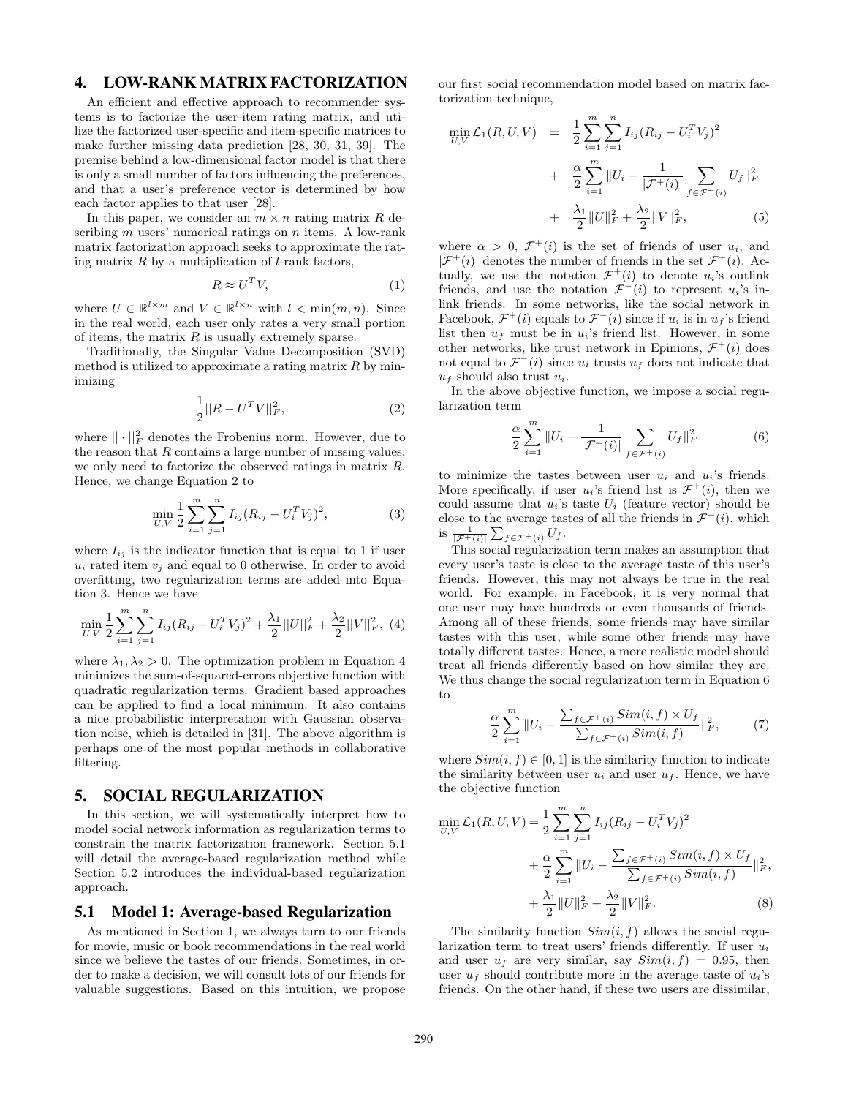# **4. LOW-RANK MATRIX FACTORIZATION**

An efficient and effective approach to recommender systems is to factorize the user-item rating matrix, and utilize the factorized user-specific and item-specific matrices to make further missing data prediction [28, 30, 31, 39]. The premise behind a low-dimensional factor model is that there is only a small number of factors influencing the preferences, and that a user's preference vector is determined by how each factor applies to that user [28].

In this paper, we consider an  $m \times n$  rating matrix R describing  $m$  users' numerical ratings on  $n$  items. A low-rank matrix factorization approach seeks to approximate the rating matrix  $R$  by a multiplication of  $l$ -rank factors,

$$
R \approx U^T V,\tag{1}
$$

where  $U \in \mathbb{R}^{l \times m}$  and  $V \in \mathbb{R}^{l \times n}$  with  $l < \min(m, n)$ . Since in the real world, each user only rates a very small portion of items, the matrix  $R$  is usually extremely sparse.

Traditionally, the Singular Value Decomposition (SVD) method is utilized to approximate a rating matrix  $R$  by minimizing

$$
\frac{1}{2}||R - U^T V||_F^2, \tag{2}
$$

where  $\|\cdot\|^2_F$  denotes the Frobenius norm. However, due to the reason that  $R$  contains a large number of missing values, we only need to factorize the observed ratings in matrix R. Hence, we change Equation 2 to

$$
\min_{U,V} \frac{1}{2} \sum_{i=1}^{m} \sum_{j=1}^{n} I_{ij} (R_{ij} - U_i^T V_j)^2, \tag{3}
$$

where  $I_{ij}$  is the indicator function that is equal to 1 if user  $u_i$  rated item  $v_j$  and equal to 0 otherwise. In order to avoid overfitting, two regularization terms are added into Equation 3. Hence we have

$$
\min_{U,V} \frac{1}{2} \sum_{i=1}^{m} \sum_{j=1}^{n} I_{ij} (R_{ij} - U_i^T V_j)^2 + \frac{\lambda_1}{2} ||U||_F^2 + \frac{\lambda_2}{2} ||V||_F^2, \tag{4}
$$

where  $\lambda_1, \lambda_2 > 0$ . The optimization problem in Equation 4 minimizes the sum-of-squared-errors objective function with quadratic regularization terms. Gradient based approaches can be applied to find a local minimum. It also contains a nice probabilistic interpretation with Gaussian observation noise, which is detailed in [31]. The above algorithm is perhaps one of the most popular methods in collaborative filtering.

## **5. SOCIAL REGULARIZATION**

In this section, we will systematically interpret how to model social network information as regularization terms to constrain the matrix factorization framework. Section 5.1 will detail the average-based regularization method while Section 5.2 introduces the individual-based regularization approach.

#### **5.1 Model 1: Average-based Regularization**

As mentioned in Section 1, we always turn to our friends for movie, music or book recommendations in the real world since we believe the tastes of our friends. Sometimes, in order to make a decision, we will consult lots of our friends for valuable suggestions. Based on this intuition, we propose our first social recommendation model based on matrix factorization technique,

$$
\min_{U,V} \mathcal{L}_1(R, U, V) = \frac{1}{2} \sum_{i=1}^m \sum_{j=1}^n I_{ij} (R_{ij} - U_i^T V_j)^2 + \frac{\alpha}{2} \sum_{i=1}^m ||U_i - \frac{1}{|\mathcal{F}^+(i)|} \sum_{f \in \mathcal{F}^+(i)} U_f||_F^2 + \frac{\lambda_1}{2} ||U||_F^2 + \frac{\lambda_2}{2} ||V||_F^2, \tag{5}
$$

where  $\alpha > 0$ ,  $\mathcal{F}^+(i)$  is the set of friends of user  $u_i$ , and  $|\mathcal{F}^+(i)|$  denotes the number of friends in the set  $\mathcal{F}^+(i)$ . Actually, we use the notation  $\mathcal{F}^+(i)$  to denote  $u_i$ 's outlink friends, and use the notation  $\mathcal{F}^{-}(i)$  to represent  $u_i$ 's inlink friends. In some networks, like the social network in Facebook,  $\mathcal{F}^+(i)$  equals to  $\mathcal{F}^-(i)$  since if  $u_i$  is in  $u_f$ 's friend list then  $u_f$  must be in  $u_i$ 's friend list. However, in some other networks, like trust network in Epinions,  $\mathcal{F}^+(i)$  does not equal to  $\mathcal{F}^{-}(i)$  since  $u_i$  trusts  $u_f$  does not indicate that  $u_f$  should also trust  $u_i$ .

In the above objective function, we impose a social regularization term

$$
\frac{\alpha}{2} \sum_{i=1}^{m} \| U_i - \frac{1}{|\mathcal{F}^+(i)|} \sum_{f \in \mathcal{F}^+(i)} U_f \|^2_F \tag{6}
$$

to minimize the tastes between user  $u_i$  and  $u_i$ 's friends. More specifically, if user  $u_i$ 's friend list is  $\mathcal{F}^+(i)$ , then we could assume that  $u_i$ 's taste  $U_i$  (feature vector) should be close to the average tastes of all the friends in  $\mathcal{F}^+(i)$ , which is  $\frac{1}{|\mathcal{F}^+(i)|} \sum_{f \in \mathcal{F}^+(i)} U_f$ .

This social regularization term makes an assumption that every user's taste is close to the average taste of this user's friends. However, this may not always be true in the real world. For example, in Facebook, it is very normal that one user may have hundreds or even thousands of friends. Among all of these friends, some friends may have similar tastes with this user, while some other friends may have totally different tastes. Hence, a more realistic model should treat all friends differently based on how similar they are. We thus change the social regularization term in Equation 6 to

$$
\frac{\alpha}{2} \sum_{i=1}^{m} \Vert U_i - \frac{\sum_{f \in \mathcal{F}^+(i)} Sim(i, f) \times U_f}{\sum_{f \in \mathcal{F}^+(i)} Sim(i, f)} \Vert_F^2, \tag{7}
$$

where  $Sim(i, f) \in [0, 1]$  is the similarity function to indicate the similarity between user  $u_i$  and user  $u_f$ . Hence, we have the objective function

$$
\min_{U,V} \mathcal{L}_1(R, U, V) = \frac{1}{2} \sum_{i=1}^m \sum_{j=1}^n I_{ij} (R_{ij} - U_i^T V_j)^2 \n+ \frac{\alpha}{2} \sum_{i=1}^m ||U_i - \frac{\sum_{f \in \mathcal{F}^+(i)} Sim(i, f) \times U_f}{\sum_{f \in \mathcal{F}^+(i)} Sim(i, f)}||_F^2, \n+ \frac{\lambda_1}{2} ||U||_F^2 + \frac{\lambda_2}{2} ||V||_F^2.
$$
\n(8)

The similarity function  $Sim(i, f)$  allows the social regularization term to treat users' friends differently. If user  $u_i$ and user  $u_f$  are very similar, say  $Sim(i, f) = 0.95$ , then user  $u_f$  should contribute more in the average taste of  $u_i$ 's friends. On the other hand, if these two users are dissimilar,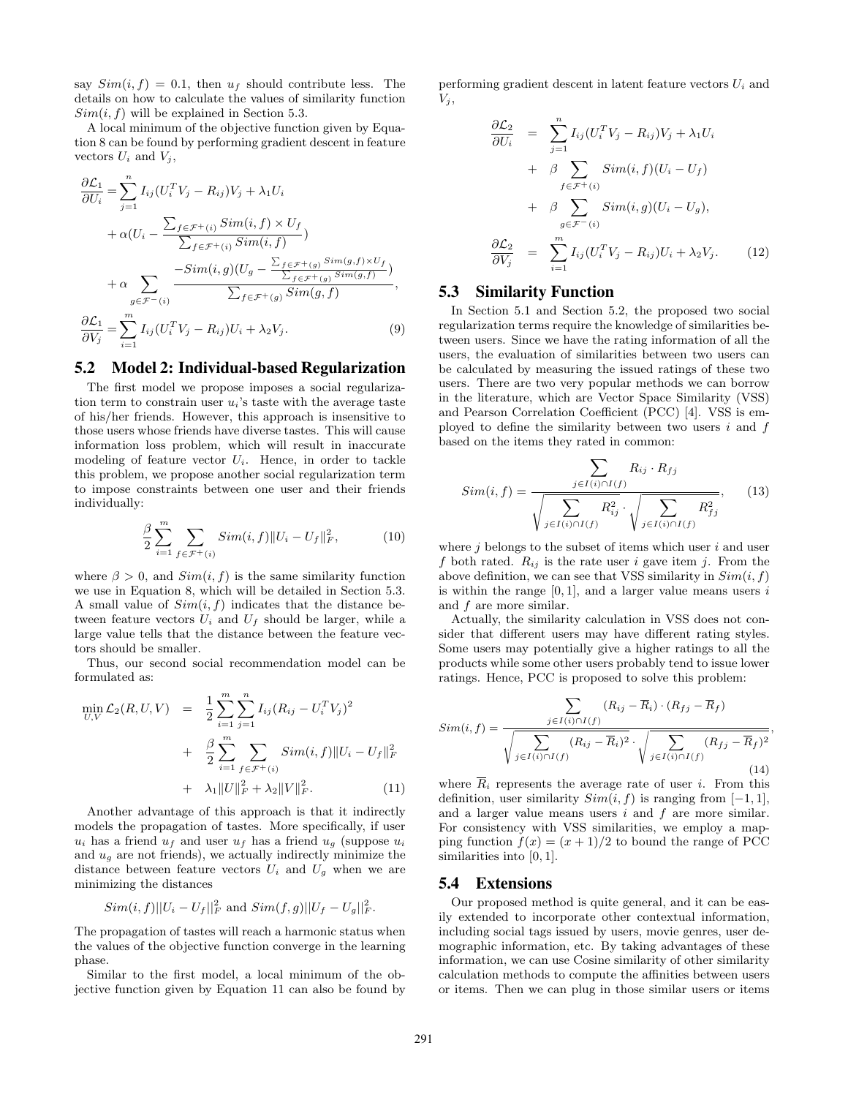say  $Sim(i, f) = 0.1$ , then  $u_f$  should contribute less. The details on how to calculate the values of similarity function  $Sim(i, f)$  will be explained in Section 5.3.

A local minimum of the objective function given by Equation 8 can be found by performing gradient descent in feature vectors  $U_i$  and  $V_i$ ,

$$
\frac{\partial \mathcal{L}_1}{\partial U_i} = \sum_{j=1}^n I_{ij} (U_i^T V_j - R_{ij}) V_j + \lambda_1 U_i
$$
  
+  $\alpha (U_i - \frac{\sum_{f \in \mathcal{F}^+(i)} Sim(i, f) \times U_f}{\sum_{f \in \mathcal{F}^+(i)} Sim(i, f)} )$   
+  $\alpha \sum_{g \in \mathcal{F}^-(i)} \frac{-Sim(i, g)(U_g - \frac{\sum_{f \in \mathcal{F}^+(g)} Sim(g, f) \times U_f}{\sum_{f \in \mathcal{F}^+(g)} Sim(g, f)} )}{\sum_{f \in \mathcal{F}^+(g)} Sim(g, f)} ,$   
 $\frac{\partial \mathcal{L}_1}{\partial V_j} = \sum_{i=1}^m I_{ij} (U_i^T V_j - R_{ij}) U_i + \lambda_2 V_j.$  (9)

#### **5.2 Model 2: Individual-based Regularization**

The first model we propose imposes a social regularization term to constrain user  $u_i$ 's taste with the average taste of his/her friends. However, this approach is insensitive to those users whose friends have diverse tastes. This will cause information loss problem, which will result in inaccurate modeling of feature vector  $U_i$ . Hence, in order to tackle this problem, we propose another social regularization term to impose constraints between one user and their friends individually:

$$
\frac{\beta}{2} \sum_{i=1}^{m} \sum_{f \in \mathcal{F}^+(i)} Sim(i, f) ||U_i - U_f||_F^2, \tag{10}
$$

where  $\beta > 0$ , and  $Sim(i, f)$  is the same similarity function we use in Equation 8, which will be detailed in Section 5.3. A small value of  $Sim(i, f)$  indicates that the distance between feature vectors  $U_i$  and  $U_f$  should be larger, while a large value tells that the distance between the feature vectors should be smaller.

Thus, our second social recommendation model can be formulated as:

$$
\min_{U,V} \mathcal{L}_2(R, U, V) = \frac{1}{2} \sum_{i=1}^m \sum_{j=1}^n I_{ij} (R_{ij} - U_i^T V_j)^2 + \frac{\beta}{2} \sum_{i=1}^m \sum_{f \in \mathcal{F}^+(i)} Sim(i, f) ||U_i - U_f||_F^2 + \lambda_1 ||U||_F^2 + \lambda_2 ||V||_F^2.
$$
 (11)

Another advantage of this approach is that it indirectly models the propagation of tastes. More specifically, if user  $u_i$  has a friend  $u_f$  and user  $u_f$  has a friend  $u_g$  (suppose  $u_i$ ) and  $u_q$  are not friends), we actually indirectly minimize the distance between feature vectors  $U_i$  and  $U_q$  when we are minimizing the distances

$$
Sim(i, f) ||U_i - U_f||_F^2
$$
 and  $Sim(f, g) ||U_f - U_g||_F^2$ .

The propagation of tastes will reach a harmonic status when the values of the objective function converge in the learning phase.

Similar to the first model, a local minimum of the objective function given by Equation 11 can also be found by performing gradient descent in latent feature vectors  $U_i$  and  $V_i$ ,

$$
\frac{\partial \mathcal{L}_2}{\partial U_i} = \sum_{j=1}^n I_{ij} (U_i^T V_j - R_{ij}) V_j + \lambda_1 U_i
$$
  
+  $\beta \sum_{f \in \mathcal{F}^+(i)} Sim(i, f) (U_i - U_f)$   
+  $\beta \sum_{g \in \mathcal{F}^-(i)} Sim(i, g) (U_i - U_g),$   

$$
\frac{\partial \mathcal{L}_2}{\partial V_j} = \sum_{i=1}^m I_{ij} (U_i^T V_j - R_{ij}) U_i + \lambda_2 V_j.
$$
 (12)

## **5.3 Similarity Function**

In Section 5.1 and Section 5.2, the proposed two social regularization terms require the knowledge of similarities between users. Since we have the rating information of all the users, the evaluation of similarities between two users can be calculated by measuring the issued ratings of these two users. There are two very popular methods we can borrow in the literature, which are Vector Space Similarity (VSS) and Pearson Correlation Coefficient (PCC) [4]. VSS is employed to define the similarity between two users  $i$  and  $f$ based on the items they rated in common:

$$
Sim(i, f) = \frac{\sum_{j \in I(i) \cap I(f)} R_{ij} \cdot R_{fj}}{\sqrt{\sum_{j \in I(i) \cap I(f)} R_{ij}^2} \cdot \sqrt{\sum_{j \in I(i) \cap I(f)} R_{fj}^2}},
$$
(13)

where  $j$  belongs to the subset of items which user  $i$  and user f both rated.  $R_{ij}$  is the rate user i gave item j. From the above definition, we can see that VSS similarity in  $Sim(i, f)$ is within the range  $[0, 1]$ , and a larger value means users i and f are more similar.

Actually, the similarity calculation in VSS does not consider that different users may have different rating styles. Some users may potentially give a higher ratings to all the products while some other users probably tend to issue lower ratings. Hence, PCC is proposed to solve this problem:

$$
Sim(i, f) = \frac{\sum_{j \in I(i) \cap I(f)} (R_{ij} - \overline{R}_i) \cdot (R_{fj} - \overline{R}_f)}{\sqrt{\sum_{j \in I(i) \cap I(f)} (R_{ij} - \overline{R}_i)^2} \cdot \sqrt{\sum_{j \in I(i) \cap I(f)} (R_{fj} - \overline{R}_f)^2}}
$$
\n(14)

,

where  $\overline{R}_i$  represents the average rate of user *i*. From this definition, user similarity  $Sim(i, f)$  is ranging from  $[-1, 1]$ , and a larger value means users  $i$  and  $f$  are more similar. For consistency with VSS similarities, we employ a mapping function  $f(x) = (x+1)/2$  to bound the range of PCC similarities into [0, 1].

## **5.4 Extensions**

Our proposed method is quite general, and it can be easily extended to incorporate other contextual information, including social tags issued by users, movie genres, user demographic information, etc. By taking advantages of these information, we can use Cosine similarity of other similarity calculation methods to compute the affinities between users or items. Then we can plug in those similar users or items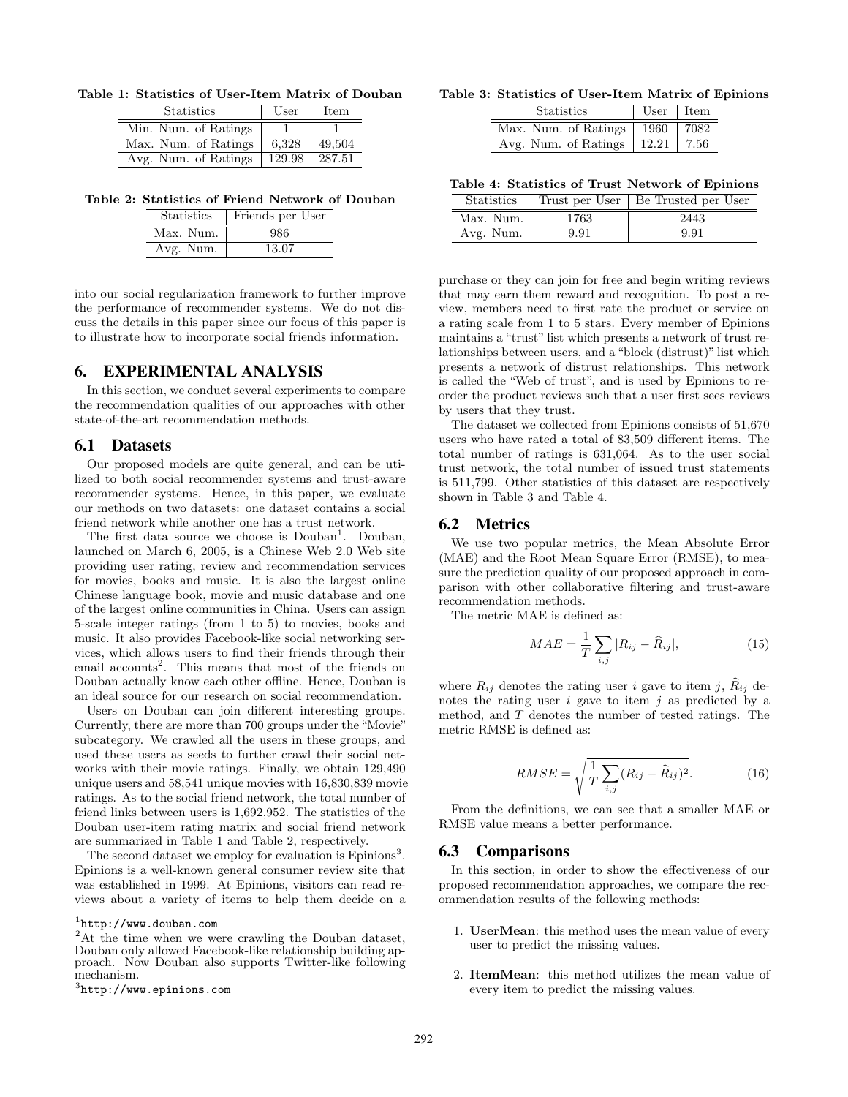Table 1: Statistics of User-Item Matrix of Douban

| <b>Statistics</b>    | User   | Item   |  |
|----------------------|--------|--------|--|
| Min. Num. of Ratings |        |        |  |
| Max. Num. of Ratings | 6,328  | 49,504 |  |
| Avg. Num. of Ratings | 129.98 | 287.51 |  |

Table 2: Statistics of Friend Network of Douban

| <b>Statistics</b> | Friends per User |  |  |  |  |
|-------------------|------------------|--|--|--|--|
| Max. Num.         | 986              |  |  |  |  |
| Avg. Num.         | 13.07            |  |  |  |  |

into our social regularization framework to further improve the performance of recommender systems. We do not discuss the details in this paper since our focus of this paper is to illustrate how to incorporate social friends information.

## **6. EXPERIMENTAL ANALYSIS**

In this section, we conduct several experiments to compare the recommendation qualities of our approaches with other state-of-the-art recommendation methods.

#### **6.1 Datasets**

Our proposed models are quite general, and can be utilized to both social recommender systems and trust-aware recommender systems. Hence, in this paper, we evaluate our methods on two datasets: one dataset contains a social friend network while another one has a trust network.

The first data source we choose is  $Douban<sup>1</sup>$ . Douban, launched on March 6, 2005, is a Chinese Web 2.0 Web site providing user rating, review and recommendation services for movies, books and music. It is also the largest online Chinese language book, movie and music database and one of the largest online communities in China. Users can assign 5-scale integer ratings (from 1 to 5) to movies, books and music. It also provides Facebook-like social networking services, which allows users to find their friends through their email accounts<sup>2</sup>. This means that most of the friends on Douban actually know each other offline. Hence, Douban is an ideal source for our research on social recommendation.

Users on Douban can join different interesting groups. Currently, there are more than 700 groups under the "Movie" subcategory. We crawled all the users in these groups, and used these users as seeds to further crawl their social networks with their movie ratings. Finally, we obtain 129,490 unique users and 58,541 unique movies with 16,830,839 movie ratings. As to the social friend network, the total number of friend links between users is 1,692,952. The statistics of the Douban user-item rating matrix and social friend network are summarized in Table 1 and Table 2, respectively.

The second dataset we employ for evaluation is Epinions<sup>3</sup>. Epinions is a well-known general consumer review site that was established in 1999. At Epinions, visitors can read reviews about a variety of items to help them decide on a

Table 3: Statistics of User-Item Matrix of Epinions

| <b>Statistics</b>                  | User   Item |       |
|------------------------------------|-------------|-------|
| Max. Num. of Ratings   1960   7082 |             |       |
| Avg. Num. of Ratings $\vert$ 12.21 |             | 17.56 |

Table 4: Statistics of Trust Network of Epinions

| <b>Statistics</b> |      | Trust per User   Be Trusted per User |
|-------------------|------|--------------------------------------|
| Max. Num.         | 1763 | 2443                                 |
| Avg. Num.         | 9.91 | 9.91                                 |

purchase or they can join for free and begin writing reviews that may earn them reward and recognition. To post a review, members need to first rate the product or service on a rating scale from 1 to 5 stars. Every member of Epinions maintains a "trust" list which presents a network of trust relationships between users, and a "block (distrust)" list which presents a network of distrust relationships. This network is called the "Web of trust", and is used by Epinions to reorder the product reviews such that a user first sees reviews by users that they trust.

The dataset we collected from Epinions consists of 51,670 users who have rated a total of 83,509 different items. The total number of ratings is 631,064. As to the user social trust network, the total number of issued trust statements is 511,799. Other statistics of this dataset are respectively shown in Table 3 and Table 4.

#### **6.2 Metrics**

We use two popular metrics, the Mean Absolute Error (MAE) and the Root Mean Square Error (RMSE), to measure the prediction quality of our proposed approach in comparison with other collaborative filtering and trust-aware recommendation methods.

The metric MAE is defined as:

$$
MAE = \frac{1}{T} \sum_{i,j} |R_{ij} - \hat{R}_{ij}|,
$$
 (15)

where  $R_{ij}$  denotes the rating user i gave to item j,  $\hat{R}_{ij}$  denotes the rating user  $i$  gave to item  $j$  as predicted by a method, and  $T$  denotes the number of tested ratings. The metric RMSE is defined as:

$$
RMSE = \sqrt{\frac{1}{T} \sum_{i,j} (R_{ij} - \widehat{R}_{ij})^2}.
$$
 (16)

From the definitions, we can see that a smaller MAE or RMSE value means a better performance.

#### **6.3 Comparisons**

In this section, in order to show the effectiveness of our proposed recommendation approaches, we compare the recommendation results of the following methods:

- 1. UserMean: this method uses the mean value of every user to predict the missing values.
- 2. ItemMean: this method utilizes the mean value of every item to predict the missing values.

<sup>1</sup> http://www.douban.com

 $2^2$ At the time when we were crawling the Douban dataset, Douban only allowed Facebook-like relationship building approach. Now Douban also supports Twitter-like following mechanism.

 $3$ http://www.epinions.com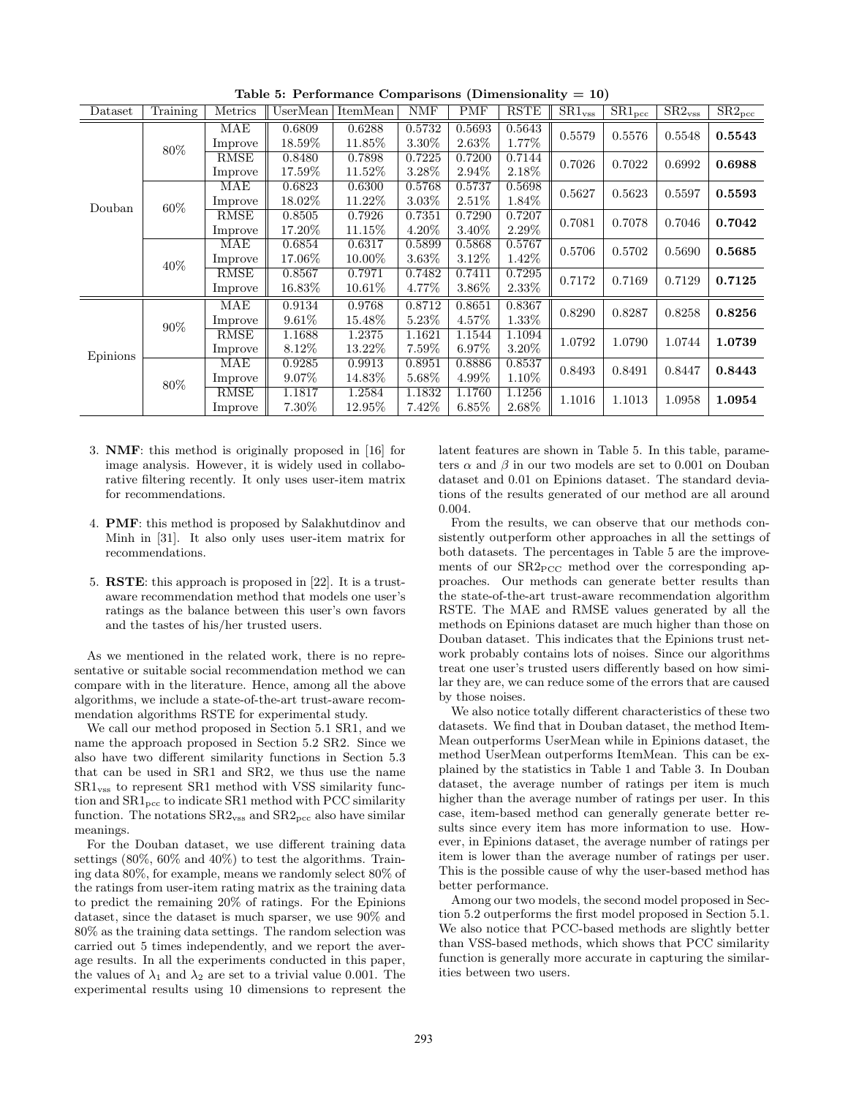| Dataset  | Training | Metrics     | UserMean | ItemMean  | <b>NMF</b> | PMF      | <b>RSTE</b> | $\overline{\mathrm{S}}\mathrm{R}1_{\mathrm{vss}}$ | $\overline{\mathrm{SR1}}_{\mathrm{pcc}}$ | $\overline{\text{SR2}_{\text{vss}}}$ | $\overline{\mathrm{SR2}}_\mathrm{pcc}$ |
|----------|----------|-------------|----------|-----------|------------|----------|-------------|---------------------------------------------------|------------------------------------------|--------------------------------------|----------------------------------------|
|          | 80%      | MAE         | 0.6809   | 0.6288    | 0.5732     | 0.5693   | 0.5643      | 0.5579                                            | 0.5576                                   | 0.5548                               | 0.5543                                 |
|          |          | Improve     | 18.59%   | 11.85%    | 3.30\%     | 2.63%    | 1.77%       |                                                   |                                          |                                      |                                        |
|          |          | RMSE        | 0.8480   | 0.7898    | 0.7225     | 0.7200   | 0.7144      | 0.7026                                            | 0.7022                                   | 0.6992                               | 0.6988                                 |
|          |          | Improve     | 17.59%   | 11.52%    | 3.28\%     | 2.94\%   | 2.18\%      |                                                   |                                          |                                      |                                        |
|          |          | MAE         | 0.6823   | 0.6300    | 0.5768     | 0.5737   | 0.5698      | 0.5627                                            | 0.5623                                   | 0.5597                               | 0.5593                                 |
| Douban   | $60\%$   | Improve     | 18.02\%  | 11.22\%   | $3.03\%$   | $2.51\%$ | 1.84\%      |                                                   |                                          |                                      |                                        |
|          |          | <b>RMSE</b> | 0.8505   | 0.7926    | 0.7351     | 0.7290   | 0.7207      | 0.7081                                            | 0.7078                                   | 0.7046                               | 0.7042                                 |
|          |          | Improve     | 17.20\%  | 11.15\%   | $4.20\%$   | $3.40\%$ | $2.29\%$    |                                                   |                                          |                                      |                                        |
|          | 40\%     | <b>MAE</b>  | 0.6854   | 0.6317    | 0.5899     | 0.5868   | 0.5767      | 0.5706                                            | 0.5702                                   | 0.5690                               | 0.5685                                 |
|          |          | Improve     | 17.06%   | 10.00%    | $3.63\%$   | $3.12\%$ | 1.42\%      |                                                   |                                          |                                      |                                        |
|          |          | <b>RMSE</b> | 0.8567   | 0.7971    | 0.7482     | 0.7411   | 0.7295      | 0.7172                                            | 0.7169                                   | 0.7129                               | 0.7125                                 |
|          |          | Improve     | 16.83\%  | $10.61\%$ | 4.77\%     | $3.86\%$ | 2.33\%      |                                                   |                                          |                                      |                                        |
| Epinions | $90\%$   | MAE         | 0.9134   | 0.9768    | 0.8712     | 0.8651   | 0.8367      | 0.8290                                            | 0.8287                                   | 0.8258                               | 0.8256                                 |
|          |          | Improve     | 9.61%    | 15.48%    | 5.23\%     | 4.57%    | 1.33%       |                                                   |                                          |                                      |                                        |
|          |          | <b>RMSE</b> | 1.1688   | 1.2375    | 1.1621     | 1.1544   | 1.1094      | 1.0792                                            | 1.0790                                   | 1.0744                               | 1.0739                                 |
|          |          | Improve     | 8.12\%   | 13.22\%   | 7.59%      | $6.97\%$ | $3.20\%$    |                                                   |                                          |                                      |                                        |
|          | 80%      | MAE         | 0.9285   | 0.9913    | 0.8951     | 0.8886   | 0.8537      | 0.8493                                            | 0.8491                                   | 0.8447                               | 0.8443                                 |
|          |          | Improve     | $9.07\%$ | 14.83%    | 5.68%      | 4.99%    | 1.10\%      |                                                   |                                          |                                      |                                        |
|          |          | RMSE        | 1.1817   | 1.2584    | 1.1832     | 1.1760   | 1.1256      | 1.1016                                            | 1.1013                                   | 1.0958                               | 1.0954                                 |
|          |          | Improve     | $7.30\%$ | 12.95\%   | $7.42\%$   | $6.85\%$ | 2.68%       |                                                   |                                          |                                      |                                        |

Table 5: Performance Comparisons (Dimensionality  $= 10$ )

- 3. NMF: this method is originally proposed in [16] for image analysis. However, it is widely used in collaborative filtering recently. It only uses user-item matrix for recommendations.
- 4. PMF: this method is proposed by Salakhutdinov and Minh in [31]. It also only uses user-item matrix for recommendations.
- 5. RSTE: this approach is proposed in [22]. It is a trustaware recommendation method that models one user's ratings as the balance between this user's own favors and the tastes of his/her trusted users.

As we mentioned in the related work, there is no representative or suitable social recommendation method we can compare with in the literature. Hence, among all the above algorithms, we include a state-of-the-art trust-aware recommendation algorithms RSTE for experimental study.

We call our method proposed in Section 5.1 SR1, and we name the approach proposed in Section 5.2 SR2. Since we also have two different similarity functions in Section 5.3 that can be used in SR1 and SR2, we thus use the name  $\text{SRI}_{\text{vss}}$  to represent  $\text{SRI}$  method with VSS similarity function and  $\text{SR1}_{\text{pcc}}$  to indicate  $\text{SR1}$  method with PCC similarity function. The notations  $SR2_{\text{vss}}$  and  $SR2_{\text{pcc}}$  also have similar meanings.

For the Douban dataset, we use different training data settings (80%, 60% and 40%) to test the algorithms. Training data 80%, for example, means we randomly select 80% of the ratings from user-item rating matrix as the training data to predict the remaining 20% of ratings. For the Epinions dataset, since the dataset is much sparser, we use 90% and 80% as the training data settings. The random selection was carried out 5 times independently, and we report the average results. In all the experiments conducted in this paper, the values of  $\lambda_1$  and  $\lambda_2$  are set to a trivial value 0.001. The experimental results using 10 dimensions to represent the

latent features are shown in Table 5. In this table, parameters  $\alpha$  and  $\beta$  in our two models are set to 0.001 on Douban dataset and 0.01 on Epinions dataset. The standard deviations of the results generated of our method are all around 0.004.

From the results, we can observe that our methods consistently outperform other approaches in all the settings of both datasets. The percentages in Table 5 are the improvements of our  $SR2_{PCC}$  method over the corresponding approaches. Our methods can generate better results than the state-of-the-art trust-aware recommendation algorithm RSTE. The MAE and RMSE values generated by all the methods on Epinions dataset are much higher than those on Douban dataset. This indicates that the Epinions trust network probably contains lots of noises. Since our algorithms treat one user's trusted users differently based on how similar they are, we can reduce some of the errors that are caused by those noises.

We also notice totally different characteristics of these two datasets. We find that in Douban dataset, the method Item-Mean outperforms UserMean while in Epinions dataset, the method UserMean outperforms ItemMean. This can be explained by the statistics in Table 1 and Table 3. In Douban dataset, the average number of ratings per item is much higher than the average number of ratings per user. In this case, item-based method can generally generate better results since every item has more information to use. However, in Epinions dataset, the average number of ratings per item is lower than the average number of ratings per user. This is the possible cause of why the user-based method has better performance.

Among our two models, the second model proposed in Section 5.2 outperforms the first model proposed in Section 5.1. We also notice that PCC-based methods are slightly better than VSS-based methods, which shows that PCC similarity function is generally more accurate in capturing the similarities between two users.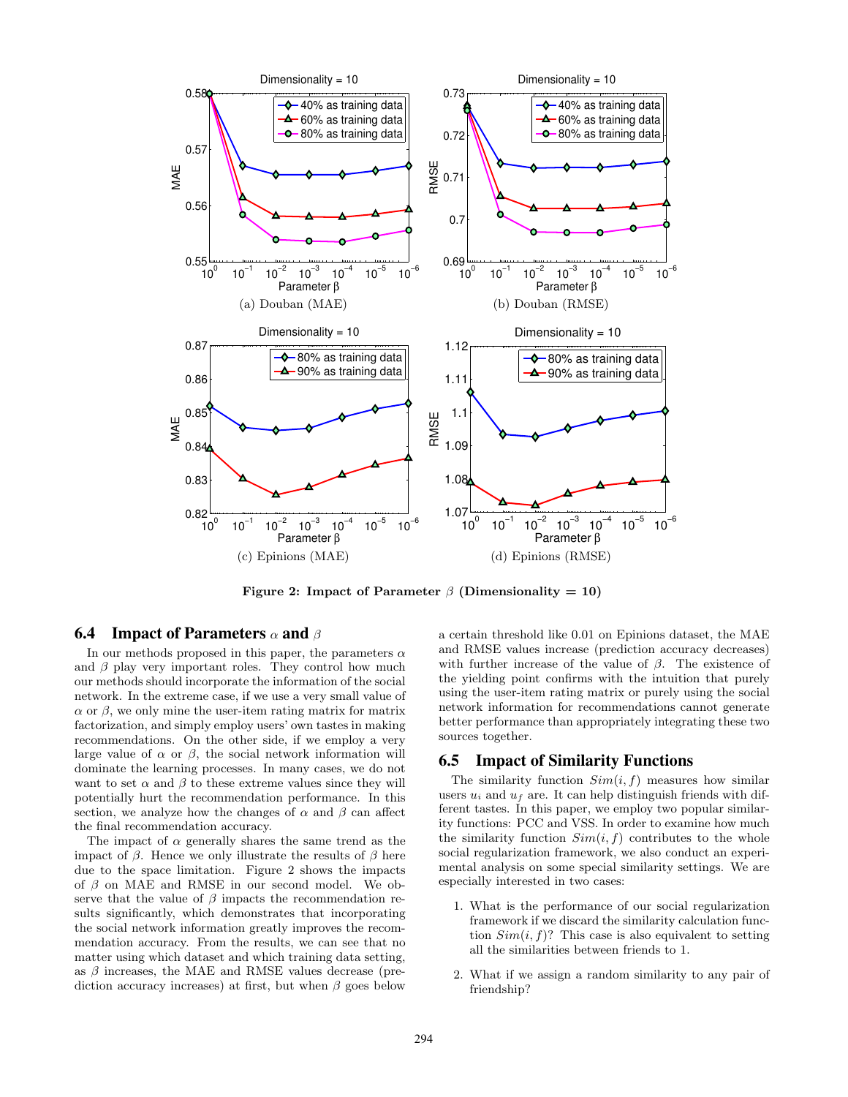

Figure 2: Impact of Parameter  $\beta$  (Dimensionality = 10)

# **6.4 Impact of Parameters**  $\alpha$  **and**  $\beta$

In our methods proposed in this paper, the parameters  $\alpha$ and  $\beta$  play very important roles. They control how much our methods should incorporate the information of the social network. In the extreme case, if we use a very small value of  $\alpha$  or  $\beta$ , we only mine the user-item rating matrix for matrix factorization, and simply employ users' own tastes in making recommendations. On the other side, if we employ a very large value of  $\alpha$  or  $\beta$ , the social network information will dominate the learning processes. In many cases, we do not want to set  $\alpha$  and  $\beta$  to these extreme values since they will potentially hurt the recommendation performance. In this section, we analyze how the changes of  $\alpha$  and  $\beta$  can affect the final recommendation accuracy.

The impact of  $\alpha$  generally shares the same trend as the impact of  $\beta$ . Hence we only illustrate the results of  $\beta$  here due to the space limitation. Figure 2 shows the impacts of  $\beta$  on MAE and RMSE in our second model. We observe that the value of  $\beta$  impacts the recommendation results significantly, which demonstrates that incorporating the social network information greatly improves the recommendation accuracy. From the results, we can see that no matter using which dataset and which training data setting, as  $\beta$  increases, the MAE and RMSE values decrease (prediction accuracy increases) at first, but when  $\beta$  goes below

a certain threshold like 0.01 on Epinions dataset, the MAE and RMSE values increase (prediction accuracy decreases) with further increase of the value of  $\beta$ . The existence of the yielding point confirms with the intuition that purely using the user-item rating matrix or purely using the social network information for recommendations cannot generate better performance than appropriately integrating these two sources together.

## **6.5 Impact of Similarity Functions**

The similarity function  $Sim(i, f)$  measures how similar users  $u_i$  and  $u_f$  are. It can help distinguish friends with different tastes. In this paper, we employ two popular similarity functions: PCC and VSS. In order to examine how much the similarity function  $Sim(i, f)$  contributes to the whole social regularization framework, we also conduct an experimental analysis on some special similarity settings. We are especially interested in two cases:

- 1. What is the performance of our social regularization framework if we discard the similarity calculation function  $Sim(i, f)$ ? This case is also equivalent to setting all the similarities between friends to 1.
- 2. What if we assign a random similarity to any pair of friendship?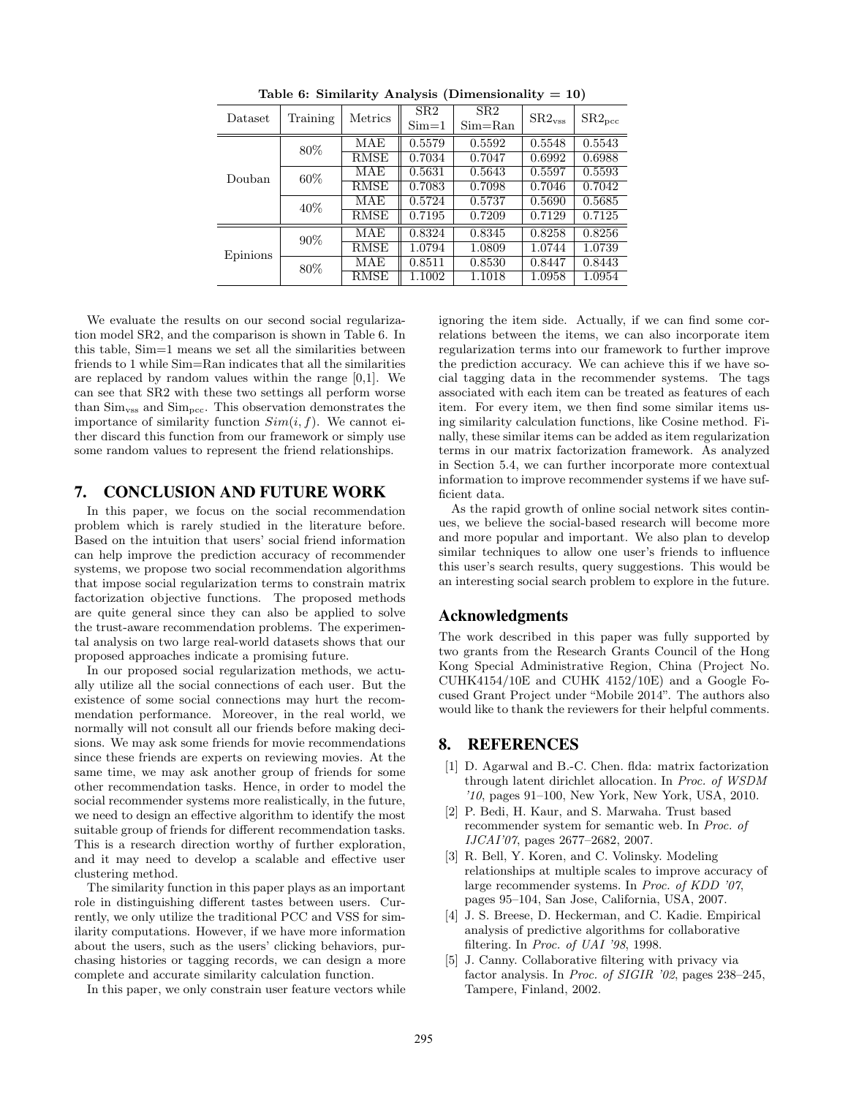| Dataset  | Training |                      | SR2<br>$Sim=1$ | SR2<br>$Sim = Ran$ | $SR2_{\text{vss}}$  | $SR2_{\rm{pcc}}$ |
|----------|----------|----------------------|----------------|--------------------|---------------------|------------------|
|          | $80\%$   | MAE                  | 0.5579         | 0.5592             | 0.5548              | 0.5543           |
|          |          | RMSE                 | 0.7034         | 0.7047             | 0.6992              | 0.6988           |
| Douban   | $60\%$   | MAE                  | 0.5631         | 0.5643             | 0.5597              | 0.5593           |
|          |          | RMSE                 | 0.7083         | 0.7098             | 0.7046              | 0.7042           |
|          | $40\%$   | MAE                  | 0.5724         | 0.5737             | 0.5690              | 0.5685           |
|          |          | RMSE                 | 0.7195         | 0.7209             | 0.7129              | 0.7125           |
| Epinions | $90\%$   | MAE                  | 0.8324         | 0.8345             | 0.8258              | 0.8256           |
|          |          | RMSE                 | 1.0794         | 1.0809             | $\overline{1.0744}$ | 1.0739           |
|          | $80\%$   | $\overline{\rm MAE}$ | 0.8511         | 0.8530             | 0.8447              | 0.8443           |
|          |          | RMSE                 | 1.1002         | 1.1018             | 1.0958              | 1.0954           |

Table 6: Similarity Analysis (Dimensionality  $= 10$ )

We evaluate the results on our second social regularization model SR2, and the comparison is shown in Table 6. In this table, Sim=1 means we set all the similarities between friends to 1 while Sim=Ran indicates that all the similarities are replaced by random values within the range [0,1]. We can see that SR2 with these two settings all perform worse than  $Sim<sub>ves</sub>$  and  $Sim<sub>pec</sub>$ . This observation demonstrates the importance of similarity function  $Sim(i, f)$ . We cannot either discard this function from our framework or simply use some random values to represent the friend relationships.

## **7. CONCLUSION AND FUTURE WORK**

In this paper, we focus on the social recommendation problem which is rarely studied in the literature before. Based on the intuition that users' social friend information can help improve the prediction accuracy of recommender systems, we propose two social recommendation algorithms that impose social regularization terms to constrain matrix factorization objective functions. The proposed methods are quite general since they can also be applied to solve the trust-aware recommendation problems. The experimental analysis on two large real-world datasets shows that our proposed approaches indicate a promising future.

In our proposed social regularization methods, we actually utilize all the social connections of each user. But the existence of some social connections may hurt the recommendation performance. Moreover, in the real world, we normally will not consult all our friends before making decisions. We may ask some friends for movie recommendations since these friends are experts on reviewing movies. At the same time, we may ask another group of friends for some other recommendation tasks. Hence, in order to model the social recommender systems more realistically, in the future, we need to design an effective algorithm to identify the most suitable group of friends for different recommendation tasks. This is a research direction worthy of further exploration, and it may need to develop a scalable and effective user clustering method.

The similarity function in this paper plays as an important role in distinguishing different tastes between users. Currently, we only utilize the traditional PCC and VSS for similarity computations. However, if we have more information about the users, such as the users' clicking behaviors, purchasing histories or tagging records, we can design a more complete and accurate similarity calculation function.

In this paper, we only constrain user feature vectors while

ignoring the item side. Actually, if we can find some correlations between the items, we can also incorporate item regularization terms into our framework to further improve the prediction accuracy. We can achieve this if we have social tagging data in the recommender systems. The tags associated with each item can be treated as features of each item. For every item, we then find some similar items using similarity calculation functions, like Cosine method. Finally, these similar items can be added as item regularization terms in our matrix factorization framework. As analyzed in Section 5.4, we can further incorporate more contextual information to improve recommender systems if we have sufficient data.

As the rapid growth of online social network sites continues, we believe the social-based research will become more and more popular and important. We also plan to develop similar techniques to allow one user's friends to influence this user's search results, query suggestions. This would be an interesting social search problem to explore in the future.

## **Acknowledgments**

The work described in this paper was fully supported by two grants from the Research Grants Council of the Hong Kong Special Administrative Region, China (Project No. CUHK4154/10E and CUHK 4152/10E) and a Google Focused Grant Project under "Mobile 2014". The authors also would like to thank the reviewers for their helpful comments.

## **8. REFERENCES**

- [1] D. Agarwal and B.-C. Chen. flda: matrix factorization through latent dirichlet allocation. In Proc. of WSDM '10, pages 91–100, New York, New York, USA, 2010.
- [2] P. Bedi, H. Kaur, and S. Marwaha. Trust based recommender system for semantic web. In Proc. of IJCAI'07, pages 2677–2682, 2007.
- [3] R. Bell, Y. Koren, and C. Volinsky. Modeling relationships at multiple scales to improve accuracy of large recommender systems. In Proc. of KDD '07, pages 95–104, San Jose, California, USA, 2007.
- [4] J. S. Breese, D. Heckerman, and C. Kadie. Empirical analysis of predictive algorithms for collaborative filtering. In Proc. of UAI '98, 1998.
- [5] J. Canny. Collaborative filtering with privacy via factor analysis. In Proc. of SIGIR '02, pages 238-245, Tampere, Finland, 2002.